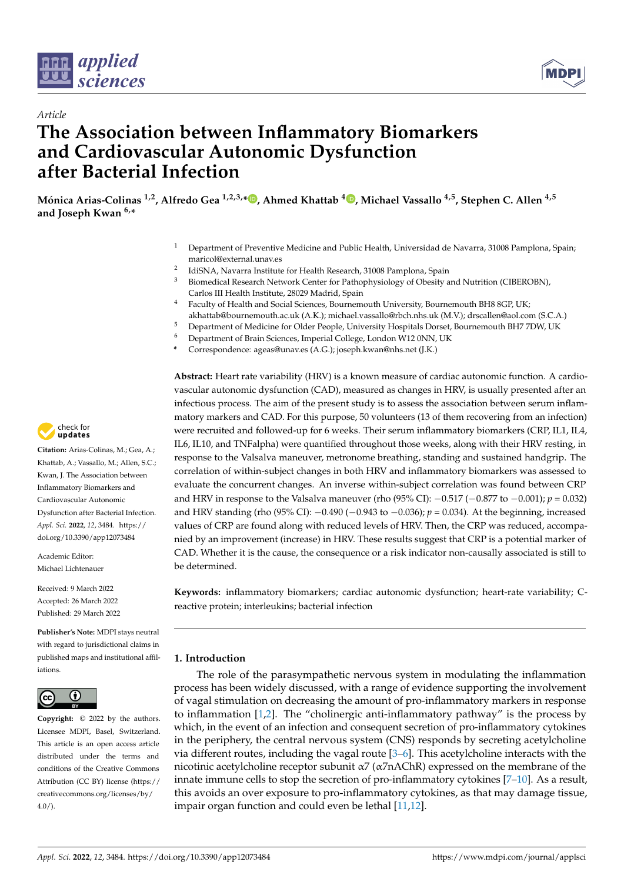



# *Article* **The Association between Inflammatory Biomarkers and Cardiovascular Autonomic Dysfunction after Bacterial Infection**

**Mónica Arias-Colinas 1,2, Alfredo Gea 1,2,3,\* [,](https://orcid.org/0000-0002-2229-4690) Ahmed Khattab <sup>4</sup> [,](https://orcid.org/0000-0003-2541-4544) Michael Vassallo 4,5, Stephen C. Allen 4,5 and Joseph Kwan 6,\***

- <sup>1</sup> Department of Preventive Medicine and Public Health, Universidad de Navarra, 31008 Pamplona, Spain; maricol@external.unav.es
- 2 IdiSNA, Navarra Institute for Health Research, 31008 Pamplona, Spain
- <sup>3</sup> Biomedical Research Network Center for Pathophysiology of Obesity and Nutrition (CIBEROBN), Carlos III Health Institute, 28029 Madrid, Spain
- <sup>4</sup> Faculty of Health and Social Sciences, Bournemouth University, Bournemouth BH8 8GP, UK; akhattab@bournemouth.ac.uk (A.K.); michael.vassallo@rbch.nhs.uk (M.V.); drscallen@aol.com (S.C.A.)
- <sup>5</sup> Department of Medicine for Older People, University Hospitals Dorset, Bournemouth BH7 7DW, UK<br><sup>6</sup> Department of Brain Sciences, Imperial Callege, Landan W12.0NN LIK
- <sup>6</sup> Department of Brain Sciences, Imperial College, London W12 0NN, UK
- **\*** Correspondence: ageas@unav.es (A.G.); joseph.kwan@nhs.net (J.K.)

**Abstract:** Heart rate variability (HRV) is a known measure of cardiac autonomic function. A cardiovascular autonomic dysfunction (CAD), measured as changes in HRV, is usually presented after an infectious process. The aim of the present study is to assess the association between serum inflammatory markers and CAD. For this purpose, 50 volunteers (13 of them recovering from an infection) were recruited and followed-up for 6 weeks. Their serum inflammatory biomarkers (CRP, IL1, IL4, IL6, IL10, and TNFalpha) were quantified throughout those weeks, along with their HRV resting, in response to the Valsalva maneuver, metronome breathing, standing and sustained handgrip. The correlation of within-subject changes in both HRV and inflammatory biomarkers was assessed to evaluate the concurrent changes. An inverse within-subject correlation was found between CRP and HRV in response to the Valsalva maneuver (rho (95% CI): −0.517 (−0.877 to −0.001); *p* = 0.032) and HRV standing (rho (95% CI): −0.490 (−0.943 to −0.036); *p* = 0.034). At the beginning, increased values of CRP are found along with reduced levels of HRV. Then, the CRP was reduced, accompanied by an improvement (increase) in HRV. These results suggest that CRP is a potential marker of CAD. Whether it is the cause, the consequence or a risk indicator non-causally associated is still to be determined.

**Keywords:** inflammatory biomarkers; cardiac autonomic dysfunction; heart-rate variability; Creactive protein; interleukins; bacterial infection

## **1. Introduction**

The role of the parasympathetic nervous system in modulating the inflammation process has been widely discussed, with a range of evidence supporting the involvement of vagal stimulation on decreasing the amount of pro-inflammatory markers in response to inflammation [\[1](#page-9-0)[,2\]](#page-9-1). The "cholinergic anti-inflammatory pathway" is the process by which, in the event of an infection and consequent secretion of pro-inflammatory cytokines in the periphery, the central nervous system (CNS) responds by secreting acetylcholine via different routes, including the vagal route [\[3–](#page-9-2)[6\]](#page-9-3). This acetylcholine interacts with the nicotinic acetylcholine receptor subunit  $\alpha$ 7 ( $\alpha$ 7nAChR) expressed on the membrane of the innate immune cells to stop the secretion of pro-inflammatory cytokines [\[7](#page-9-4)[–10\]](#page-9-5). As a result, this avoids an over exposure to pro-inflammatory cytokines, as that may damage tissue, impair organ function and could even be lethal [\[11,](#page-9-6)[12\]](#page-9-7).



**Citation:** Arias-Colinas, M.; Gea, A.; Khattab, A.; Vassallo, M.; Allen, S.C.; Kwan, J. The Association between Inflammatory Biomarkers and Cardiovascular Autonomic Dysfunction after Bacterial Infection. *Appl. Sci.* **2022**, *12*, 3484. [https://](https://doi.org/10.3390/app12073484) [doi.org/10.3390/app12073484](https://doi.org/10.3390/app12073484)

Academic Editor: Michael Lichtenauer

Received: 9 March 2022 Accepted: 26 March 2022 Published: 29 March 2022

**Publisher's Note:** MDPI stays neutral with regard to jurisdictional claims in published maps and institutional affiliations.



**Copyright:** © 2022 by the authors. Licensee MDPI, Basel, Switzerland. This article is an open access article distributed under the terms and conditions of the Creative Commons Attribution (CC BY) license [\(https://](https://creativecommons.org/licenses/by/4.0/) [creativecommons.org/licenses/by/](https://creativecommons.org/licenses/by/4.0/)  $4.0/$ ).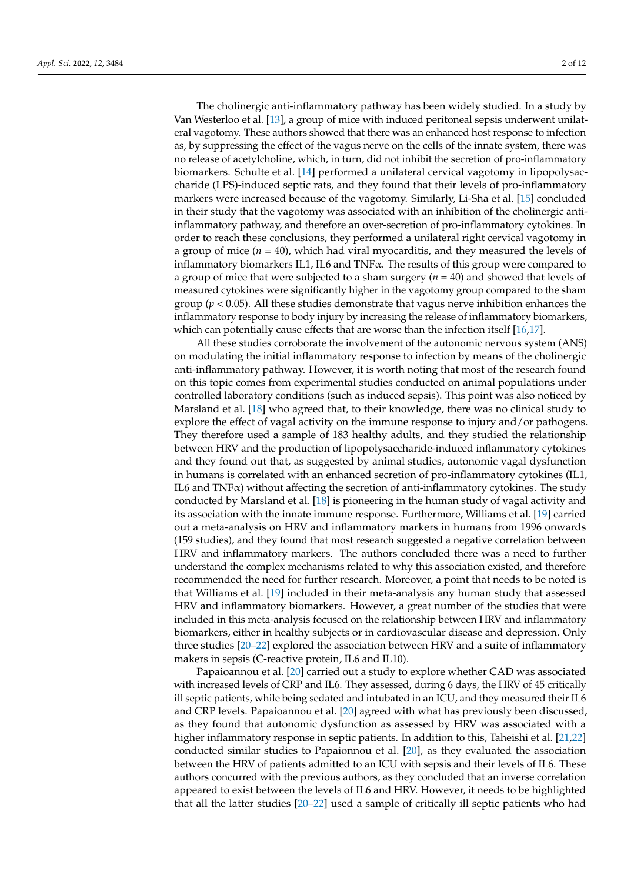The cholinergic anti-inflammatory pathway has been widely studied. In a study by Van Westerloo et al. [\[13\]](#page-9-8), a group of mice with induced peritoneal sepsis underwent unilateral vagotomy. These authors showed that there was an enhanced host response to infection as, by suppressing the effect of the vagus nerve on the cells of the innate system, there was no release of acetylcholine, which, in turn, did not inhibit the secretion of pro-inflammatory biomarkers. Schulte et al. [\[14\]](#page-9-9) performed a unilateral cervical vagotomy in lipopolysaccharide (LPS)-induced septic rats, and they found that their levels of pro-inflammatory markers were increased because of the vagotomy. Similarly, Li-Sha et al. [\[15\]](#page-9-10) concluded in their study that the vagotomy was associated with an inhibition of the cholinergic antiinflammatory pathway, and therefore an over-secretion of pro-inflammatory cytokines. In order to reach these conclusions, they performed a unilateral right cervical vagotomy in a group of mice  $(n = 40)$ , which had viral myocarditis, and they measured the levels of inflammatory biomarkers IL1, IL6 and TNFα. The results of this group were compared to a group of mice that were subjected to a sham surgery (*n* = 40) and showed that levels of measured cytokines were significantly higher in the vagotomy group compared to the sham group ( $p < 0.05$ ). All these studies demonstrate that vagus nerve inhibition enhances the inflammatory response to body injury by increasing the release of inflammatory biomarkers, which can potentially cause effects that are worse than the infection itself [\[16,](#page-9-11)[17\]](#page-9-12).

All these studies corroborate the involvement of the autonomic nervous system (ANS) on modulating the initial inflammatory response to infection by means of the cholinergic anti-inflammatory pathway. However, it is worth noting that most of the research found on this topic comes from experimental studies conducted on animal populations under controlled laboratory conditions (such as induced sepsis). This point was also noticed by Marsland et al. [\[18\]](#page-10-0) who agreed that, to their knowledge, there was no clinical study to explore the effect of vagal activity on the immune response to injury and/or pathogens. They therefore used a sample of 183 healthy adults, and they studied the relationship between HRV and the production of lipopolysaccharide-induced inflammatory cytokines and they found out that, as suggested by animal studies, autonomic vagal dysfunction in humans is correlated with an enhanced secretion of pro-inflammatory cytokines (IL1, IL6 and  $TNF\alpha$ ) without affecting the secretion of anti-inflammatory cytokines. The study conducted by Marsland et al. [\[18\]](#page-10-0) is pioneering in the human study of vagal activity and its association with the innate immune response. Furthermore, Williams et al. [\[19\]](#page-10-1) carried out a meta-analysis on HRV and inflammatory markers in humans from 1996 onwards (159 studies), and they found that most research suggested a negative correlation between HRV and inflammatory markers. The authors concluded there was a need to further understand the complex mechanisms related to why this association existed, and therefore recommended the need for further research. Moreover, a point that needs to be noted is that Williams et al. [\[19\]](#page-10-1) included in their meta-analysis any human study that assessed HRV and inflammatory biomarkers. However, a great number of the studies that were included in this meta-analysis focused on the relationship between HRV and inflammatory biomarkers, either in healthy subjects or in cardiovascular disease and depression. Only three studies [\[20–](#page-10-2)[22\]](#page-10-3) explored the association between HRV and a suite of inflammatory makers in sepsis (C-reactive protein, IL6 and IL10).

Papaioannou et al. [\[20\]](#page-10-2) carried out a study to explore whether CAD was associated with increased levels of CRP and IL6. They assessed, during 6 days, the HRV of 45 critically ill septic patients, while being sedated and intubated in an ICU, and they measured their IL6 and CRP levels. Papaioannou et al. [\[20\]](#page-10-2) agreed with what has previously been discussed, as they found that autonomic dysfunction as assessed by HRV was associated with a higher inflammatory response in septic patients. In addition to this, Taheishi et al. [\[21](#page-10-4)[,22\]](#page-10-3) conducted similar studies to Papaionnou et al. [\[20\]](#page-10-2), as they evaluated the association between the HRV of patients admitted to an ICU with sepsis and their levels of IL6. These authors concurred with the previous authors, as they concluded that an inverse correlation appeared to exist between the levels of IL6 and HRV. However, it needs to be highlighted that all the latter studies [\[20](#page-10-2)[–22\]](#page-10-3) used a sample of critically ill septic patients who had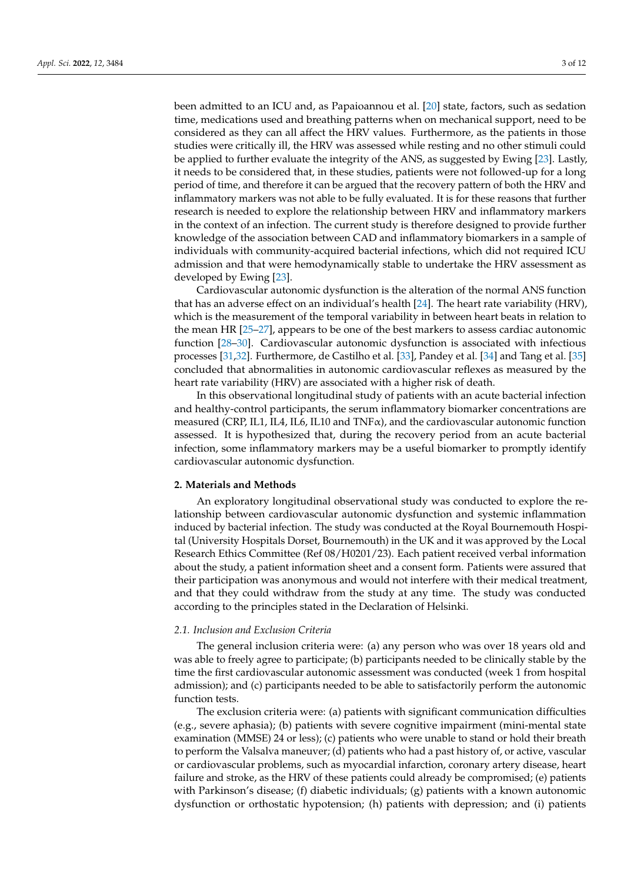been admitted to an ICU and, as Papaioannou et al. [\[20\]](#page-10-2) state, factors, such as sedation time, medications used and breathing patterns when on mechanical support, need to be considered as they can all affect the HRV values. Furthermore, as the patients in those studies were critically ill, the HRV was assessed while resting and no other stimuli could be applied to further evaluate the integrity of the ANS, as suggested by Ewing [\[23\]](#page-10-5). Lastly, it needs to be considered that, in these studies, patients were not followed-up for a long period of time, and therefore it can be argued that the recovery pattern of both the HRV and inflammatory markers was not able to be fully evaluated. It is for these reasons that further research is needed to explore the relationship between HRV and inflammatory markers in the context of an infection. The current study is therefore designed to provide further knowledge of the association between CAD and inflammatory biomarkers in a sample of individuals with community-acquired bacterial infections, which did not required ICU admission and that were hemodynamically stable to undertake the HRV assessment as developed by Ewing [\[23\]](#page-10-5).

Cardiovascular autonomic dysfunction is the alteration of the normal ANS function that has an adverse effect on an individual's health [\[24\]](#page-10-6). The heart rate variability (HRV), which is the measurement of the temporal variability in between heart beats in relation to the mean HR [\[25–](#page-10-7)[27\]](#page-10-8), appears to be one of the best markers to assess cardiac autonomic function [\[28](#page-10-9)[–30\]](#page-10-10). Cardiovascular autonomic dysfunction is associated with infectious processes [\[31](#page-10-11)[,32\]](#page-10-12). Furthermore, de Castilho et al. [\[33\]](#page-10-13), Pandey et al. [\[34\]](#page-10-14) and Tang et al. [\[35\]](#page-10-15) concluded that abnormalities in autonomic cardiovascular reflexes as measured by the heart rate variability (HRV) are associated with a higher risk of death.

In this observational longitudinal study of patients with an acute bacterial infection and healthy-control participants, the serum inflammatory biomarker concentrations are measured (CRP, IL1, IL4, IL6, IL10 and  $TNF\alpha$ ), and the cardiovascular autonomic function assessed. It is hypothesized that, during the recovery period from an acute bacterial infection, some inflammatory markers may be a useful biomarker to promptly identify cardiovascular autonomic dysfunction.

### **2. Materials and Methods**

An exploratory longitudinal observational study was conducted to explore the relationship between cardiovascular autonomic dysfunction and systemic inflammation induced by bacterial infection. The study was conducted at the Royal Bournemouth Hospital (University Hospitals Dorset, Bournemouth) in the UK and it was approved by the Local Research Ethics Committee (Ref 08/H0201/23). Each patient received verbal information about the study, a patient information sheet and a consent form. Patients were assured that their participation was anonymous and would not interfere with their medical treatment, and that they could withdraw from the study at any time. The study was conducted according to the principles stated in the Declaration of Helsinki.

#### *2.1. Inclusion and Exclusion Criteria*

The general inclusion criteria were: (a) any person who was over 18 years old and was able to freely agree to participate; (b) participants needed to be clinically stable by the time the first cardiovascular autonomic assessment was conducted (week 1 from hospital admission); and (c) participants needed to be able to satisfactorily perform the autonomic function tests.

The exclusion criteria were: (a) patients with significant communication difficulties (e.g., severe aphasia); (b) patients with severe cognitive impairment (mini-mental state examination (MMSE) 24 or less); (c) patients who were unable to stand or hold their breath to perform the Valsalva maneuver; (d) patients who had a past history of, or active, vascular or cardiovascular problems, such as myocardial infarction, coronary artery disease, heart failure and stroke, as the HRV of these patients could already be compromised; (e) patients with Parkinson's disease; (f) diabetic individuals;  $(g)$  patients with a known autonomic dysfunction or orthostatic hypotension; (h) patients with depression; and (i) patients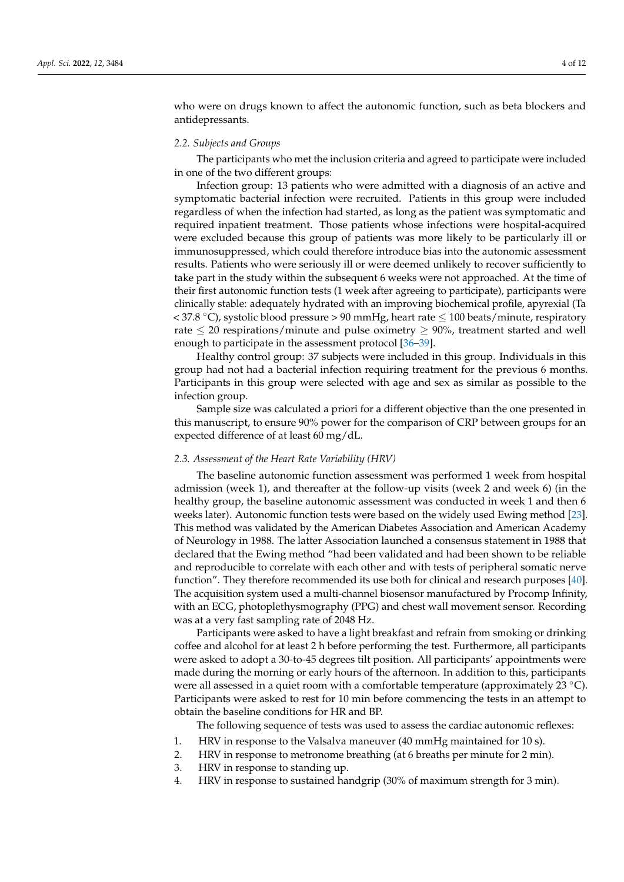who were on drugs known to affect the autonomic function, such as beta blockers and antidepressants.

#### *2.2. Subjects and Groups*

The participants who met the inclusion criteria and agreed to participate were included in one of the two different groups:

Infection group: 13 patients who were admitted with a diagnosis of an active and symptomatic bacterial infection were recruited. Patients in this group were included regardless of when the infection had started, as long as the patient was symptomatic and required inpatient treatment. Those patients whose infections were hospital-acquired were excluded because this group of patients was more likely to be particularly ill or immunosuppressed, which could therefore introduce bias into the autonomic assessment results. Patients who were seriously ill or were deemed unlikely to recover sufficiently to take part in the study within the subsequent 6 weeks were not approached. At the time of their first autonomic function tests (1 week after agreeing to participate), participants were clinically stable: adequately hydrated with an improving biochemical profile, apyrexial (Ta  $<$  37.8 °C), systolic blood pressure > 90 mmHg, heart rate  $\leq$  100 beats/minute, respiratory rate  $\leq$  20 respirations/minute and pulse oximetry  $\geq$  90%, treatment started and well enough to participate in the assessment protocol [\[36–](#page-10-16)[39\]](#page-10-17).

Healthy control group: 37 subjects were included in this group. Individuals in this group had not had a bacterial infection requiring treatment for the previous 6 months. Participants in this group were selected with age and sex as similar as possible to the infection group.

Sample size was calculated a priori for a different objective than the one presented in this manuscript, to ensure 90% power for the comparison of CRP between groups for an expected difference of at least 60 mg/dL.

#### *2.3. Assessment of the Heart Rate Variability (HRV)*

The baseline autonomic function assessment was performed 1 week from hospital admission (week 1), and thereafter at the follow-up visits (week 2 and week 6) (in the healthy group, the baseline autonomic assessment was conducted in week 1 and then 6 weeks later). Autonomic function tests were based on the widely used Ewing method [\[23\]](#page-10-5). This method was validated by the American Diabetes Association and American Academy of Neurology in 1988. The latter Association launched a consensus statement in 1988 that declared that the Ewing method "had been validated and had been shown to be reliable and reproducible to correlate with each other and with tests of peripheral somatic nerve function". They therefore recommended its use both for clinical and research purposes [\[40\]](#page-10-18). The acquisition system used a multi-channel biosensor manufactured by Procomp Infinity, with an ECG, photoplethysmography (PPG) and chest wall movement sensor. Recording was at a very fast sampling rate of 2048 Hz.

Participants were asked to have a light breakfast and refrain from smoking or drinking coffee and alcohol for at least 2 h before performing the test. Furthermore, all participants were asked to adopt a 30-to-45 degrees tilt position. All participants' appointments were made during the morning or early hours of the afternoon. In addition to this, participants were all assessed in a quiet room with a comfortable temperature (approximately 23  $°C$ ). Participants were asked to rest for 10 min before commencing the tests in an attempt to obtain the baseline conditions for HR and BP.

The following sequence of tests was used to assess the cardiac autonomic reflexes:

- 1. HRV in response to the Valsalva maneuver (40 mmHg maintained for 10 s).
- 2. HRV in response to metronome breathing (at 6 breaths per minute for 2 min).
- 3. HRV in response to standing up.
- 4. HRV in response to sustained handgrip (30% of maximum strength for 3 min).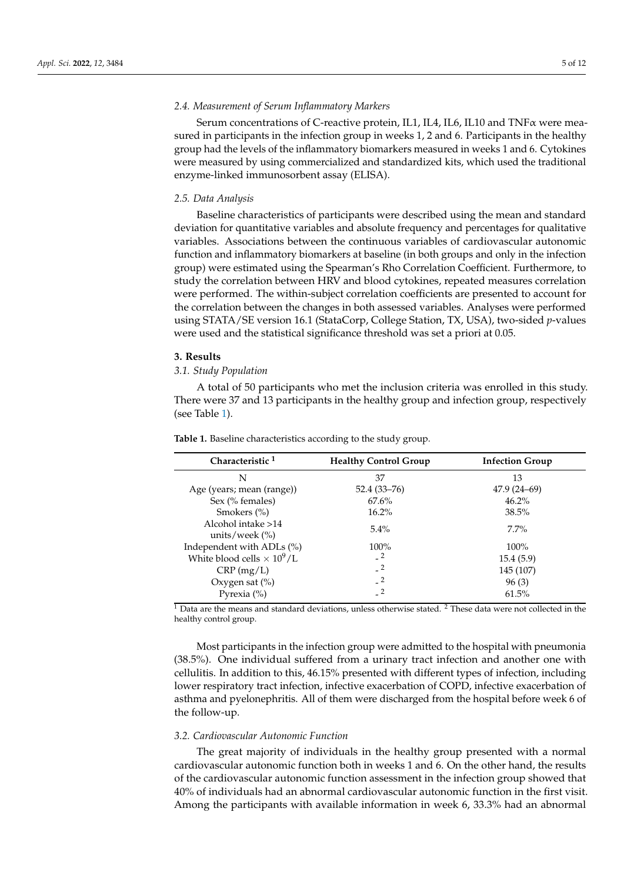#### *2.4. Measurement of Serum Inflammatory Markers*

Serum concentrations of C-reactive protein, IL1, IL4, IL6, IL10 and TNFα were measured in participants in the infection group in weeks 1, 2 and 6. Participants in the healthy group had the levels of the inflammatory biomarkers measured in weeks 1 and 6. Cytokines were measured by using commercialized and standardized kits, which used the traditional enzyme-linked immunosorbent assay (ELISA).

#### *2.5. Data Analysis*

Baseline characteristics of participants were described using the mean and standard deviation for quantitative variables and absolute frequency and percentages for qualitative variables. Associations between the continuous variables of cardiovascular autonomic function and inflammatory biomarkers at baseline (in both groups and only in the infection group) were estimated using the Spearman's Rho Correlation Coefficient. Furthermore, to study the correlation between HRV and blood cytokines, repeated measures correlation were performed. The within-subject correlation coefficients are presented to account for the correlation between the changes in both assessed variables. Analyses were performed using STATA/SE version 16.1 (StataCorp, College Station, TX, USA), two-sided *p*-values were used and the statistical significance threshold was set a priori at 0.05.

#### **3. Results**

## *3.1. Study Population*

A total of 50 participants who met the inclusion criteria was enrolled in this study. There were 37 and 13 participants in the healthy group and infection group, respectively (see Table [1\)](#page-4-0).

| Characteristic <sup>1</sup>                              | <b>Healthy Control Group</b>         | <b>Infection Group</b> |  |
|----------------------------------------------------------|--------------------------------------|------------------------|--|
| N                                                        | 37                                   | 13                     |  |
| Age (years; mean (range))                                | $52.4(33 - 76)$                      | $47.9(24-69)$          |  |
| Sex (% females)                                          | $67.6\%$                             | $46.2\%$               |  |
| Smokers $(\% )$                                          | $16.2\%$                             | 38.5%                  |  |
| Alcohol intake >14<br>units/week $\frac{\frac{9}{6}}{2}$ | $5.4\%$                              | $7.7\%$                |  |
| Independent with ADLs $(\%)$                             | $100\%$                              | $100\%$                |  |
| White blood cells $\times 10^9$ /L                       | $-2$                                 | 15.4(5.9)              |  |
| CRP(mg/L)                                                | $-2$                                 | 145 (107)              |  |
| Oxygen sat $(\%)$                                        | $-2$                                 | 96(3)                  |  |
| Pyrexia $(\%)$                                           | $\overline{\phantom{0}}^2$<br>$\sim$ | 61.5%                  |  |

<span id="page-4-0"></span>**Table 1.** Baseline characteristics according to the study group.

 $^1$  Data are the means and standard deviations, unless otherwise stated.  $^2$  These data were not collected in the healthy control group.

Most participants in the infection group were admitted to the hospital with pneumonia (38.5%). One individual suffered from a urinary tract infection and another one with cellulitis. In addition to this, 46.15% presented with different types of infection, including lower respiratory tract infection, infective exacerbation of COPD, infective exacerbation of asthma and pyelonephritis. All of them were discharged from the hospital before week 6 of the follow-up.

### *3.2. Cardiovascular Autonomic Function*

The great majority of individuals in the healthy group presented with a normal cardiovascular autonomic function both in weeks 1 and 6. On the other hand, the results of the cardiovascular autonomic function assessment in the infection group showed that 40% of individuals had an abnormal cardiovascular autonomic function in the first visit. Among the participants with available information in week 6, 33.3% had an abnormal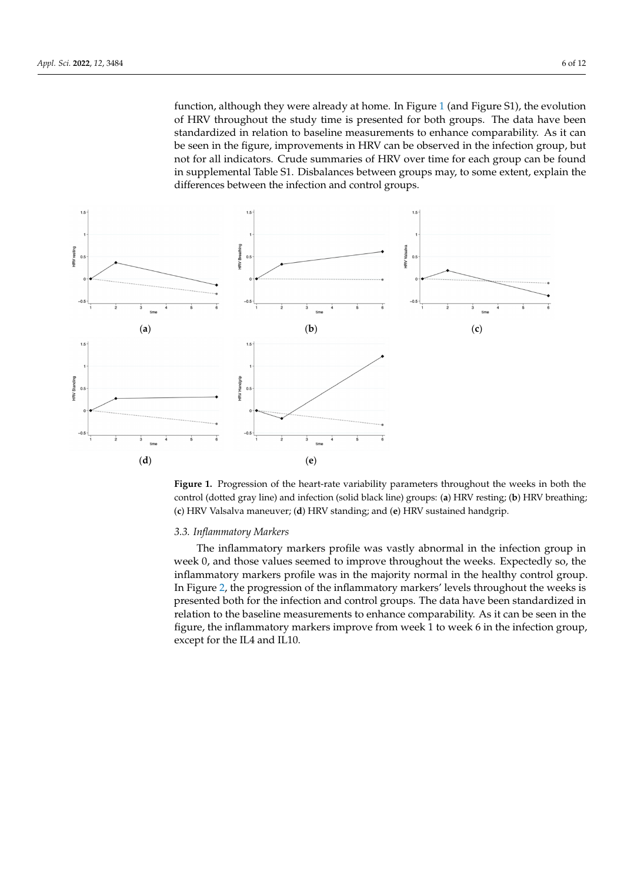<span id="page-5-0"></span>function, although they were already at home. In Figure 1 (and Figure S1), the evolution function, although they were already at home. In Figure 1 [\(a](#page-5-0)nd Figure S1), the evolution of HRV throughout the study time is presented for both groups. The data have been standardized in relation to baseline measurements to enhance comparability. As it can be seen in the figure, improvements in HRV can be observed in the infection group, but not for all indicators. Crude summaries of HRV over time for each group can be found in supplemental Table S1. Disbalances between groups may, to some extent, explain the differences between the infection and control groups. between the infection and control groups.



**Figure 1.** Progression of the heart rate variability parameters throughout the weeks in both the weeks in both the conclusion of the heart **Figure 1.** Progression of the heart-rate variability parameters throughout the weeks in both the (**c**) HRV Valsalva maneuver; (**d**) HRV standing; and (**e**) HRV sustained handgrip. control (dotted gray line) and infection (solid black line) groups: (**a**) HRV resting; (**b**) HRV breathing; (**c**) HRV Valsalva maneuver; (**d**) HRV standing; and (**e**) HRV sustained handgrip.

## *3.3. Inflammatory Markers 3.3. Inflammatory Markers*

 $T$  inflammations profile was variable was variable was variable was variable was variable  $T$ The inflammatory markers profile was vastly abnormal in the infection group in week 0, and those values seemed to improve throughout the weeks. Expectedly so, the inflammatory markers profile was in the majority normal in the healthy control group. In Figure [2,](#page-6-0) the progression of the inflammatory markers' levels throughout the weeks is presented both for the infection and control groups. The data have been standardized in relation to the baseline measurements to enhance comparability. As it can be seen in the figure, the inflammatory markers improve from week  $1$  to week  $6$  in the infection group, except for the IL4 and IL10.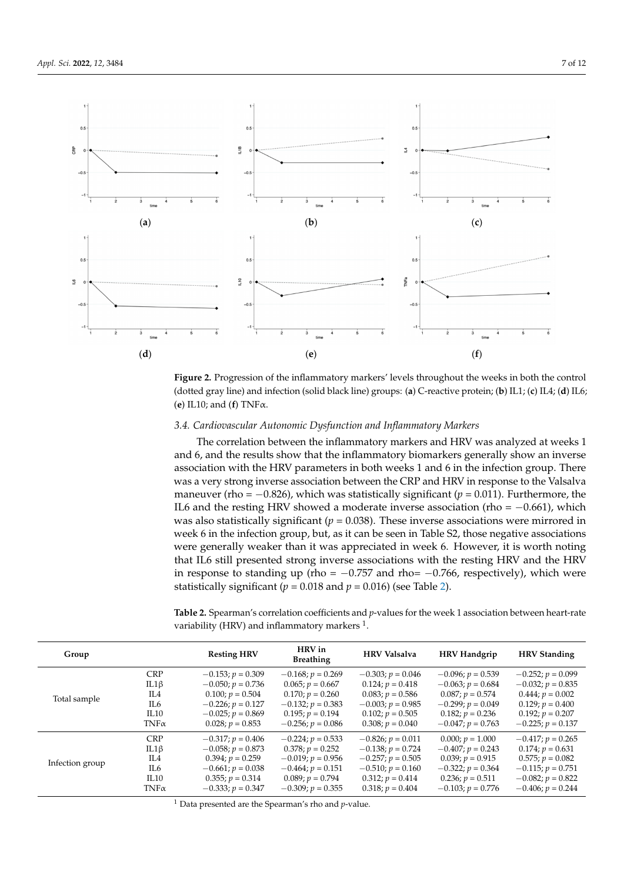<span id="page-6-0"></span>

**Figure 2.** Progression of the inflammatory markers' levels throughout the weeks in both the control (**d**) IL6; (**e**) IL10; and (**f**) TNFα. (dotted gray line) and infection (solid black line) groups: (**a**) C-reactive protein; (**b**) IL1; (**c**) IL4; (**d**) IL6; (**e**) IL10; and (**f**) TNFα.

## *3.4. Cardiovascular Autonomic Dysfunction and Inflammatory Markers 3.4. Cardiovascular Autonomic Dysfunction and Inflammatory Markers*

 $T = T \cdot T$  is an analyzed at inflamentary markers and HRV was and HRV was and HRV was and HRV was analyzed at weeks The correlation between the inflammatory markers and HRV was analyzed at weeks 1 and 6, and the results show that the inflammatory biomarkers generally show an inverse association with the HRV parameters in both weeks 1 and 6 in the infection group. There was a very strong inverse association between the CRP and HRV in response to the Valsalva<br>. maneuver (rho =  $-0.826$ ), which was statistically significant ( $p = 0.011$ ). Furthermore, the IL6 and the resting HRV showed a moderate inverse association (rho = −0.661), which was also statistically significant ( $p$  = 0.038). These inverse associations were mirrored in week 6 in the infection group, but, as it can be seen in Table S2, those negative associations were generally weaker than it was appreciated in week 6. However, it is worth noting that IL6 still presented strong inverse associations with the resting HRV and the HRV in response to standing up (rho = −0.757 and rho= −0.766, respectively), which were statistically significant ( $p = 0.018$  and  $p = 0.016$ ) (see Table [2\)](#page-6-1).

<span id="page-6-1"></span>Table 2. Spearman's correlation coefficients and *p*-values for the week 1 association between heart-rate **budge 1 CHRV in CHRV in Brandflammatory markers** <sup>1</sup>.

| Group           |             | <b>Resting HRV</b>  | HRV in<br><b>Breathing</b> | <b>HRV</b> Valsalva | <b>HRV Handgrip</b> | <b>HRV Standing</b> |
|-----------------|-------------|---------------------|----------------------------|---------------------|---------------------|---------------------|
| Total sample    | <b>CRP</b>  | $-0.153; p = 0.309$ | $-0.168; p = 0.269$        | $-0.303; p = 0.046$ | $-0.096; p = 0.539$ | $-0.252; p = 0.099$ |
|                 | $IL1\beta$  | $-0.050; p = 0.736$ | $0.065; p = 0.667$         | $0.124; p = 0.418$  | $-0.063; p = 0.684$ | $-0.032; p = 0.835$ |
|                 | IL4         | $0.100; p = 0.504$  | $0.170; p = 0.260$         | $0.083; p = 0.586$  | $0.087; p = 0.574$  | $0.444; p = 0.002$  |
|                 | IL6         | $-0.226; p = 0.127$ | $-0.132; p = 0.383$        | $-0.003; p = 0.985$ | $-0.299; p = 0.049$ | $0.129; p = 0.400$  |
|                 | IL10        | $-0.025; p = 0.869$ | $0.195; p = 0.194$         | $0.102; p = 0.505$  | $0.182; p = 0.236$  | $0.192; p = 0.207$  |
|                 | $TNF\alpha$ | $0.028; p = 0.853$  | $-0.256; p = 0.086$        | $0.308; p = 0.040$  | $-0.047; p = 0.763$ | $-0.225; p = 0.137$ |
| Infection group | <b>CRP</b>  | $-0.317; p = 0.406$ | $-0.224; p = 0.533$        | $-0.826; p = 0.011$ | $0.000; p = 1.000$  | $-0.417; p = 0.265$ |
|                 | $IL1\beta$  | $-0.058; p = 0.873$ | $0.378; p = 0.252$         | $-0.138; p = 0.724$ | $-0.407; p = 0.243$ | $0.174; p = 0.631$  |
|                 | IL4         | $0.394; p = 0.259$  | $-0.019; p = 0.956$        | $-0.257; p = 0.505$ | $0.039; p = 0.915$  | $0.575; p = 0.082$  |
|                 | IL6         | $-0.661; p = 0.038$ | $-0.464; p = 0.151$        | $-0.510; p = 0.160$ | $-0.322; p = 0.364$ | $-0.115; p = 0.751$ |
|                 | IL10        | $0.355; p = 0.314$  | $0.089; p = 0.794$         | $0.312; p = 0.414$  | $0.236; p = 0.511$  | $-0.082; p = 0.822$ |
|                 | $TNF\alpha$ | $-0.333; p = 0.347$ | $-0.309; p = 0.355$        | $0.318; p = 0.404$  | $-0.103; p = 0.776$ | $-0.406; p = 0.244$ |

<sup>1</sup> Data presented are the Spearman's rho and *p*-value.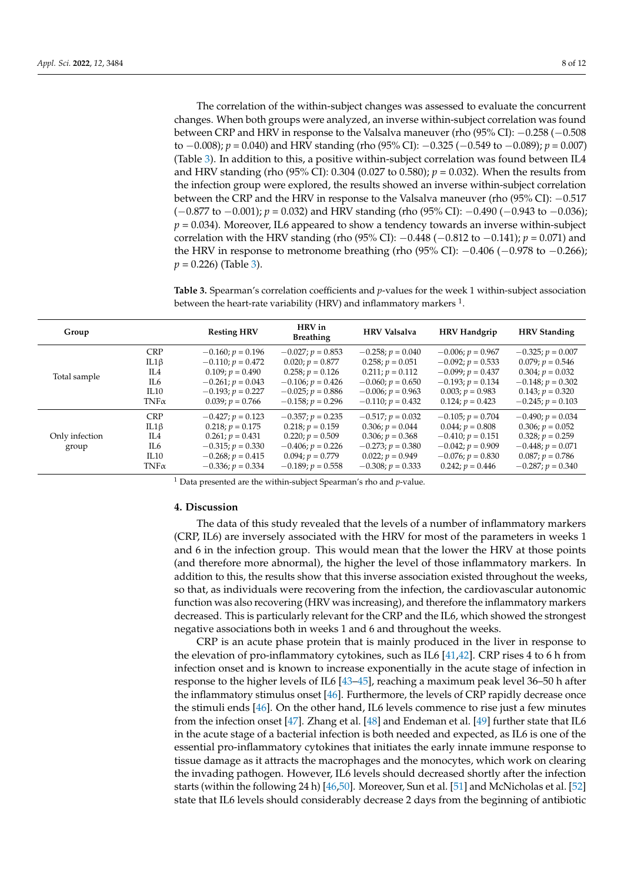The correlation of the within-subject changes was assessed to evaluate the concurrent changes. When both groups were analyzed, an inverse within-subject correlation was found between CRP and HRV in response to the Valsalva maneuver (rho (95% CI): −0.258 (−0.508 to −0.008); *p* = 0.040) and HRV standing (rho (95% CI): −0.325 (−0.549 to −0.089); *p* = 0.007) (Table [3\)](#page-7-0). In addition to this, a positive within-subject correlation was found between IL4 and HRV standing (rho (95% CI): 0.304 (0.027 to 0.580);  $p = 0.032$ ). When the results from the infection group were explored, the results showed an inverse within-subject correlation between the CRP and the HRV in response to the Valsalva maneuver (rho (95% CI): −0.517 (−0.877 to −0.001); *p* = 0.032) and HRV standing (rho (95% CI): −0.490 (−0.943 to −0.036); *p* = 0.034). Moreover, IL6 appeared to show a tendency towards an inverse within-subject correlation with the HRV standing (rho (95% CI): −0.448 (−0.812 to −0.141); *p* = 0.071) and the HRV in response to metronome breathing (rho  $(95\%$  CI):  $-0.406$  ( $-0.978$  to  $-0.266$ ); *p* = 0.226) (Table [3\)](#page-7-0).

<span id="page-7-0"></span>**Table 3.** Spearman's correlation coefficients and *p*-values for the week 1 within-subject association between the heart-rate variability (HRV) and inflammatory markers  $^1$ .

| Group                   |                                                                | <b>Resting HRV</b>                                                                                                                   | HRV in<br><b>Breathing</b>                                                                                                           | <b>HRV</b> Valsalva                                                                                                                  | <b>HRV Handgrip</b>                                                                                                                  | <b>HRV</b> Standing                                                                                                                 |
|-------------------------|----------------------------------------------------------------|--------------------------------------------------------------------------------------------------------------------------------------|--------------------------------------------------------------------------------------------------------------------------------------|--------------------------------------------------------------------------------------------------------------------------------------|--------------------------------------------------------------------------------------------------------------------------------------|-------------------------------------------------------------------------------------------------------------------------------------|
| Total sample            | <b>CRP</b><br>$IL1\beta$<br>IL4<br>IL6<br>IL10<br>$TNF\alpha$  | $-0.160; p = 0.196$<br>$-0.110; p = 0.472$<br>$0.109; p = 0.490$<br>$-0.261; p = 0.043$<br>$-0.193; p = 0.227$<br>$0.039; p = 0.766$ | $-0.027; p = 0.853$<br>$0.020; p = 0.877$<br>$0.258; p = 0.126$<br>$-0.106; p = 0.426$<br>$-0.025; p = 0.886$<br>$-0.158; p = 0.296$ | $-0.258; p = 0.040$<br>$0.258; p = 0.051$<br>$0.211; p = 0.112$<br>$-0.060; p = 0.650$<br>$-0.006; p = 0.963$<br>$-0.110; p = 0.432$ | $-0.006; p = 0.967$<br>$-0.092; p = 0.533$<br>$-0.099; p = 0.437$<br>$-0.193; p = 0.134$<br>$0.003; p = 0.983$<br>$0.124; p = 0.423$ | $-0.325; p = 0.007$<br>$0.079; p = 0.546$<br>$0.304; p = 0.032$<br>$-0.148; p = 0.302$<br>$0.143; p = 0.320$<br>$-0.245; p = 0.103$ |
| Only infection<br>group | <b>CRP</b><br>$IL1\beta$<br>IL4<br>IL6<br>IL 10<br>$TNF\alpha$ | $-0.427; p = 0.123$<br>$0.218; p = 0.175$<br>$0.261; p = 0.431$<br>$-0.315; p = 0.330$<br>$-0.268; p = 0.415$<br>$-0.336; p = 0.334$ | $-0.357; p = 0.235$<br>$0.218; p = 0.159$<br>$0.220; p = 0.509$<br>$-0.406; p = 0.226$<br>$0.094; p = 0.779$<br>$-0.189; p = 0.558$  | $-0.517; p = 0.032$<br>$0.306; p = 0.044$<br>$0.306; p = 0.368$<br>$-0.273; p = 0.380$<br>$0.022; p = 0.949$<br>$-0.308; p = 0.333$  | $-0.105; p = 0.704$<br>$0.044; p = 0.808$<br>$-0.410; p = 0.151$<br>$-0.042; p = 0.909$<br>$-0.076; p = 0.830$<br>$0.242; p = 0.446$ | $-0.490; p = 0.034$<br>$0.306; p = 0.052$<br>$0.328; p = 0.259$<br>$-0.448; p = 0.071$<br>$0.087; p = 0.786$<br>$-0.287; p = 0.340$ |

<sup>1</sup> Data presented are the within-subject Spearman's rho and *p*-value.

#### **4. Discussion**

The data of this study revealed that the levels of a number of inflammatory markers (CRP, IL6) are inversely associated with the HRV for most of the parameters in weeks 1 and 6 in the infection group. This would mean that the lower the HRV at those points (and therefore more abnormal), the higher the level of those inflammatory markers. In addition to this, the results show that this inverse association existed throughout the weeks, so that, as individuals were recovering from the infection, the cardiovascular autonomic function was also recovering (HRV was increasing), and therefore the inflammatory markers decreased. This is particularly relevant for the CRP and the IL6, which showed the strongest negative associations both in weeks 1 and 6 and throughout the weeks.

CRP is an acute phase protein that is mainly produced in the liver in response to the elevation of pro-inflammatory cytokines, such as IL6 [\[41,](#page-10-19)[42\]](#page-10-20). CRP rises 4 to 6 h from infection onset and is known to increase exponentially in the acute stage of infection in response to the higher levels of IL6 [\[43](#page-10-21)[–45\]](#page-11-0), reaching a maximum peak level 36–50 h after the inflammatory stimulus onset [\[46\]](#page-11-1). Furthermore, the levels of CRP rapidly decrease once the stimuli ends [\[46\]](#page-11-1). On the other hand, IL6 levels commence to rise just a few minutes from the infection onset [\[47\]](#page-11-2). Zhang et al. [\[48\]](#page-11-3) and Endeman et al. [\[49\]](#page-11-4) further state that IL6 in the acute stage of a bacterial infection is both needed and expected, as IL6 is one of the essential pro-inflammatory cytokines that initiates the early innate immune response to tissue damage as it attracts the macrophages and the monocytes, which work on clearing the invading pathogen. However, IL6 levels should decreased shortly after the infection starts (within the following 24 h) [\[46,](#page-11-1)[50\]](#page-11-5). Moreover, Sun et al. [\[51\]](#page-11-6) and McNicholas et al. [\[52\]](#page-11-7) state that IL6 levels should considerably decrease 2 days from the beginning of antibiotic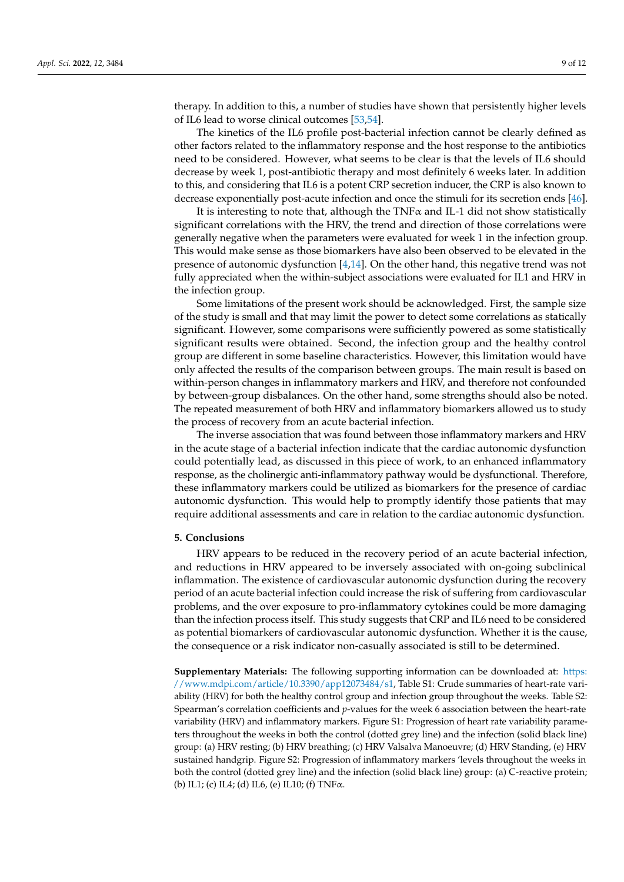therapy. In addition to this, a number of studies have shown that persistently higher levels of IL6 lead to worse clinical outcomes [\[53](#page-11-8)[,54\]](#page-11-9).

The kinetics of the IL6 profile post-bacterial infection cannot be clearly defined as other factors related to the inflammatory response and the host response to the antibiotics need to be considered. However, what seems to be clear is that the levels of IL6 should decrease by week 1, post-antibiotic therapy and most definitely 6 weeks later. In addition to this, and considering that IL6 is a potent CRP secretion inducer, the CRP is also known to decrease exponentially post-acute infection and once the stimuli for its secretion ends [\[46\]](#page-11-1).

It is interesting to note that, although the TNF $\alpha$  and IL-1 did not show statistically significant correlations with the HRV, the trend and direction of those correlations were generally negative when the parameters were evaluated for week 1 in the infection group. This would make sense as those biomarkers have also been observed to be elevated in the presence of autonomic dysfunction [\[4,](#page-9-13)[14\]](#page-9-9). On the other hand, this negative trend was not fully appreciated when the within-subject associations were evaluated for IL1 and HRV in the infection group.

Some limitations of the present work should be acknowledged. First, the sample size of the study is small and that may limit the power to detect some correlations as statically significant. However, some comparisons were sufficiently powered as some statistically significant results were obtained. Second, the infection group and the healthy control group are different in some baseline characteristics. However, this limitation would have only affected the results of the comparison between groups. The main result is based on within-person changes in inflammatory markers and HRV, and therefore not confounded by between-group disbalances. On the other hand, some strengths should also be noted. The repeated measurement of both HRV and inflammatory biomarkers allowed us to study the process of recovery from an acute bacterial infection.

The inverse association that was found between those inflammatory markers and HRV in the acute stage of a bacterial infection indicate that the cardiac autonomic dysfunction could potentially lead, as discussed in this piece of work, to an enhanced inflammatory response, as the cholinergic anti-inflammatory pathway would be dysfunctional. Therefore, these inflammatory markers could be utilized as biomarkers for the presence of cardiac autonomic dysfunction. This would help to promptly identify those patients that may require additional assessments and care in relation to the cardiac autonomic dysfunction.

#### **5. Conclusions**

HRV appears to be reduced in the recovery period of an acute bacterial infection, and reductions in HRV appeared to be inversely associated with on-going subclinical inflammation. The existence of cardiovascular autonomic dysfunction during the recovery period of an acute bacterial infection could increase the risk of suffering from cardiovascular problems, and the over exposure to pro-inflammatory cytokines could be more damaging than the infection process itself. This study suggests that CRP and IL6 need to be considered as potential biomarkers of cardiovascular autonomic dysfunction. Whether it is the cause, the consequence or a risk indicator non-casually associated is still to be determined.

**Supplementary Materials:** The following supporting information can be downloaded at: [https:](https://www.mdpi.com/article/10.3390/app12073484/s1) [//www.mdpi.com/article/10.3390/app12073484/s1,](https://www.mdpi.com/article/10.3390/app12073484/s1) Table S1: Crude summaries of heart-rate variability (HRV) for both the healthy control group and infection group throughout the weeks. Table S2: Spearman's correlation coefficients and *p*-values for the week 6 association between the heart-rate variability (HRV) and inflammatory markers. Figure S1: Progression of heart rate variability parameters throughout the weeks in both the control (dotted grey line) and the infection (solid black line) group: (a) HRV resting; (b) HRV breathing; (c) HRV Valsalva Manoeuvre; (d) HRV Standing, (e) HRV sustained handgrip. Figure S2: Progression of inflammatory markers 'levels throughout the weeks in both the control (dotted grey line) and the infection (solid black line) group: (a) C-reactive protein; (b) IL1; (c) IL4; (d) IL6, (e) IL10; (f) TNFα.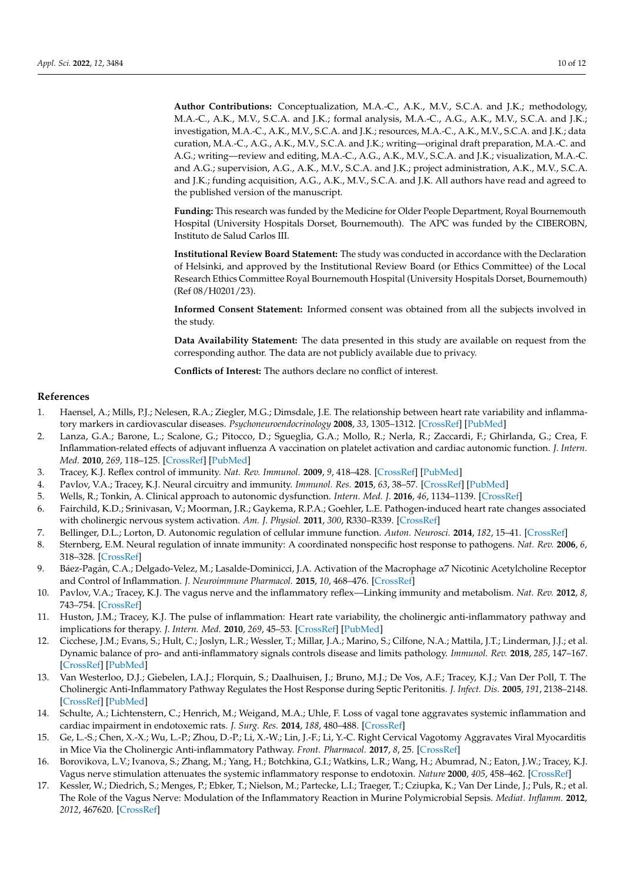**Author Contributions:** Conceptualization, M.A.-C., A.K., M.V., S.C.A. and J.K.; methodology, M.A.-C., A.K., M.V., S.C.A. and J.K.; formal analysis, M.A.-C., A.G., A.K., M.V., S.C.A. and J.K.; investigation, M.A.-C., A.K., M.V., S.C.A. and J.K.; resources, M.A.-C., A.K., M.V., S.C.A. and J.K.; data curation, M.A.-C., A.G., A.K., M.V., S.C.A. and J.K.; writing—original draft preparation, M.A.-C. and A.G.; writing—review and editing, M.A.-C., A.G., A.K., M.V., S.C.A. and J.K.; visualization, M.A.-C. and A.G.; supervision, A.G., A.K., M.V., S.C.A. and J.K.; project administration, A.K., M.V., S.C.A. and J.K.; funding acquisition, A.G., A.K., M.V., S.C.A. and J.K. All authors have read and agreed to the published version of the manuscript.

**Funding:** This research was funded by the Medicine for Older People Department, Royal Bournemouth Hospital (University Hospitals Dorset, Bournemouth). The APC was funded by the CIBEROBN, Instituto de Salud Carlos III.

**Institutional Review Board Statement:** The study was conducted in accordance with the Declaration of Helsinki, and approved by the Institutional Review Board (or Ethics Committee) of the Local Research Ethics Committee Royal Bournemouth Hospital (University Hospitals Dorset, Bournemouth) (Ref 08/H0201/23).

**Informed Consent Statement:** Informed consent was obtained from all the subjects involved in the study.

**Data Availability Statement:** The data presented in this study are available on request from the corresponding author. The data are not publicly available due to privacy.

**Conflicts of Interest:** The authors declare no conflict of interest.

#### **References**

- <span id="page-9-0"></span>1. Haensel, A.; Mills, P.J.; Nelesen, R.A.; Ziegler, M.G.; Dimsdale, J.E. The relationship between heart rate variability and inflammatory markers in cardiovascular diseases. *Psychoneuroendocrinology* **2008**, *33*, 1305–1312. [\[CrossRef\]](http://doi.org/10.1016/j.psyneuen.2008.08.007) [\[PubMed\]](http://www.ncbi.nlm.nih.gov/pubmed/18819754)
- <span id="page-9-1"></span>2. Lanza, G.A.; Barone, L.; Scalone, G.; Pitocco, D.; Sgueglia, G.A.; Mollo, R.; Nerla, R.; Zaccardi, F.; Ghirlanda, G.; Crea, F. Inflammation-related effects of adjuvant influenza A vaccination on platelet activation and cardiac autonomic function. *J. Intern. Med.* **2010**, *269*, 118–125. [\[CrossRef\]](http://doi.org/10.1111/j.1365-2796.2010.02285.x) [\[PubMed\]](http://www.ncbi.nlm.nih.gov/pubmed/20964738)
- <span id="page-9-2"></span>3. Tracey, K.J. Reflex control of immunity. *Nat. Rev. Immunol.* **2009**, *9*, 418–428. [\[CrossRef\]](http://doi.org/10.1038/nri2566) [\[PubMed\]](http://www.ncbi.nlm.nih.gov/pubmed/19461672)
- <span id="page-9-13"></span>4. Pavlov, V.A.; Tracey, K.J. Neural circuitry and immunity. *Immunol. Res.* **2015**, *63*, 38–57. [\[CrossRef\]](http://doi.org/10.1007/s12026-015-8718-1) [\[PubMed\]](http://www.ncbi.nlm.nih.gov/pubmed/26512000)
- 5. Wells, R.; Tonkin, A. Clinical approach to autonomic dysfunction. *Intern. Med. J.* **2016**, *46*, 1134–1139. [\[CrossRef\]](http://doi.org/10.1111/imj.13216)
- <span id="page-9-3"></span>6. Fairchild, K.D.; Srinivasan, V.; Moorman, J.R.; Gaykema, R.P.A.; Goehler, L.E. Pathogen-induced heart rate changes associated with cholinergic nervous system activation. *Am. J. Physiol.* **2011**, *300*, R330–R339. [\[CrossRef\]](http://doi.org/10.1152/ajpregu.00487.2010)
- <span id="page-9-4"></span>7. Bellinger, D.L.; Lorton, D. Autonomic regulation of cellular immune function. *Auton. Neurosci.* **2014**, *182*, 15–41. [\[CrossRef\]](http://doi.org/10.1016/j.autneu.2014.01.006)
- 8. Sternberg, E.M. Neural regulation of innate immunity: A coordinated nonspecific host response to pathogens. *Nat. Rev.* **2006**, *6*, 318–328. [\[CrossRef\]](http://doi.org/10.1038/nri1810)
- 9. Báez-Pagán, C.A.; Delgado-Velez, M.; Lasalde-Dominicci, J.A. Activation of the Macrophage α7 Nicotinic Acetylcholine Receptor and Control of Inflammation. *J. Neuroimmune Pharmacol.* **2015**, *10*, 468–476. [\[CrossRef\]](http://doi.org/10.1007/s11481-015-9601-5)
- <span id="page-9-5"></span>10. Pavlov, V.A.; Tracey, K.J. The vagus nerve and the inflammatory reflex—Linking immunity and metabolism. *Nat. Rev.* **2012**, *8*, 743–754. [\[CrossRef\]](http://doi.org/10.1038/nrendo.2012.189)
- <span id="page-9-6"></span>11. Huston, J.M.; Tracey, K.J. The pulse of inflammation: Heart rate variability, the cholinergic anti-inflammatory pathway and implications for therapy. *J. Intern. Med.* **2010**, *269*, 45–53. [\[CrossRef\]](http://doi.org/10.1111/j.1365-2796.2010.02321.x) [\[PubMed\]](http://www.ncbi.nlm.nih.gov/pubmed/21158977)
- <span id="page-9-7"></span>12. Cicchese, J.M.; Evans, S.; Hult, C.; Joslyn, L.R.; Wessler, T.; Millar, J.A.; Marino, S.; Cilfone, N.A.; Mattila, J.T.; Linderman, J.J.; et al. Dynamic balance of pro- and anti-inflammatory signals controls disease and limits pathology. *Immunol. Rev.* **2018**, *285*, 147–167. [\[CrossRef\]](http://doi.org/10.1111/imr.12671) [\[PubMed\]](http://www.ncbi.nlm.nih.gov/pubmed/30129209)
- <span id="page-9-8"></span>13. Van Westerloo, D.J.; Giebelen, I.A.J.; Florquin, S.; Daalhuisen, J.; Bruno, M.J.; De Vos, A.F.; Tracey, K.J.; Van Der Poll, T. The Cholinergic Anti-Inflammatory Pathway Regulates the Host Response during Septic Peritonitis. *J. Infect. Dis.* **2005**, *191*, 2138–2148. [\[CrossRef\]](http://doi.org/10.1086/430323) [\[PubMed\]](http://www.ncbi.nlm.nih.gov/pubmed/15898001)
- <span id="page-9-9"></span>14. Schulte, A.; Lichtenstern, C.; Henrich, M.; Weigand, M.A.; Uhle, F. Loss of vagal tone aggravates systemic inflammation and cardiac impairment in endotoxemic rats. *J. Surg. Res.* **2014**, *188*, 480–488. [\[CrossRef\]](http://doi.org/10.1016/j.jss.2014.01.022)
- <span id="page-9-10"></span>15. Ge, L.-S.; Chen, X.-X.; Wu, L.-P.; Zhou, D.-P.; Li, X.-W.; Lin, J.-F.; Li, Y.-C. Right Cervical Vagotomy Aggravates Viral Myocarditis in Mice Via the Cholinergic Anti-inflammatory Pathway. *Front. Pharmacol.* **2017**, *8*, 25. [\[CrossRef\]](http://doi.org/10.3389/fphar.2017.00025)
- <span id="page-9-11"></span>16. Borovikova, L.V.; Ivanova, S.; Zhang, M.; Yang, H.; Botchkina, G.I.; Watkins, L.R.; Wang, H.; Abumrad, N.; Eaton, J.W.; Tracey, K.J. Vagus nerve stimulation attenuates the systemic inflammatory response to endotoxin. *Nature* **2000**, *405*, 458–462. [\[CrossRef\]](http://doi.org/10.1038/35013070)
- <span id="page-9-12"></span>17. Kessler, W.; Diedrich, S.; Menges, P.; Ebker, T.; Nielson, M.; Partecke, L.I.; Traeger, T.; Cziupka, K.; Van Der Linde, J.; Puls, R.; et al. The Role of the Vagus Nerve: Modulation of the Inflammatory Reaction in Murine Polymicrobial Sepsis. *Mediat. Inflamm.* **2012**, *2012*, 467620. [\[CrossRef\]](http://doi.org/10.1155/2012/467620)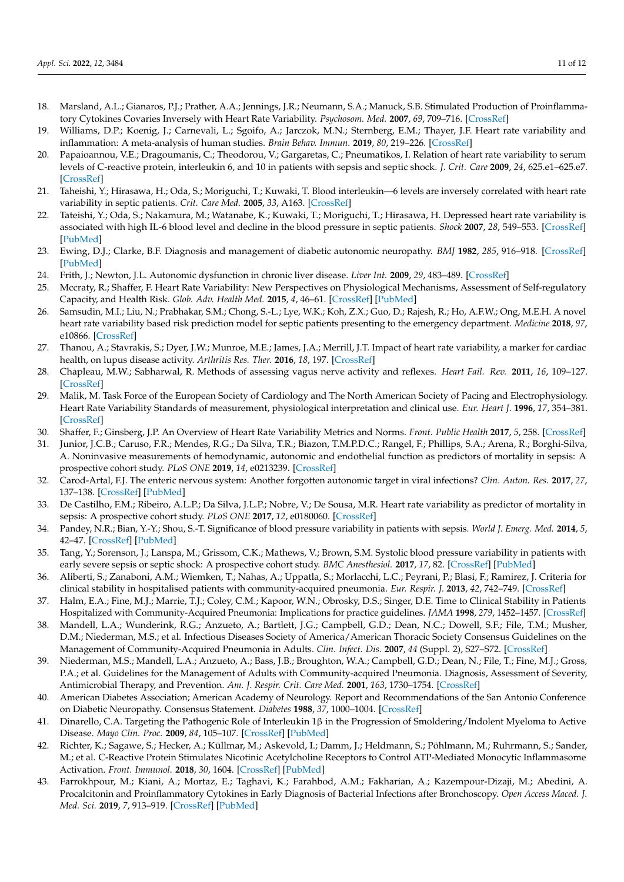- <span id="page-10-0"></span>18. Marsland, A.L.; Gianaros, P.J.; Prather, A.A.; Jennings, J.R.; Neumann, S.A.; Manuck, S.B. Stimulated Production of Proinflammatory Cytokines Covaries Inversely with Heart Rate Variability. *Psychosom. Med.* **2007**, *69*, 709–716. [\[CrossRef\]](http://doi.org/10.1097/PSY.0b013e3181576118)
- <span id="page-10-1"></span>19. Williams, D.P.; Koenig, J.; Carnevali, L.; Sgoifo, A.; Jarczok, M.N.; Sternberg, E.M.; Thayer, J.F. Heart rate variability and inflammation: A meta-analysis of human studies. *Brain Behav. Immun.* **2019**, *80*, 219–226. [\[CrossRef\]](http://doi.org/10.1016/j.bbi.2019.03.009)
- <span id="page-10-2"></span>20. Papaioannou, V.E.; Dragoumanis, C.; Theodorou, V.; Gargaretas, C.; Pneumatikos, I. Relation of heart rate variability to serum levels of C-reactive protein, interleukin 6, and 10 in patients with sepsis and septic shock. *J. Crit. Care* **2009**, *24*, 625.e1–625.e7. [\[CrossRef\]](http://doi.org/10.1016/j.jcrc.2008.11.010)
- <span id="page-10-4"></span>21. Taheishi, Y.; Hirasawa, H.; Oda, S.; Moriguchi, T.; Kuwaki, T. Blood interleukin—6 levels are inversely correlated with heart rate variability in septic patients. *Crit. Care Med.* **2005**, *33*, A163. [\[CrossRef\]](http://doi.org/10.1097/00003246-200512002-00578)
- <span id="page-10-3"></span>22. Tateishi, Y.; Oda, S.; Nakamura, M.; Watanabe, K.; Kuwaki, T.; Moriguchi, T.; Hirasawa, H. Depressed heart rate variability is associated with high IL-6 blood level and decline in the blood pressure in septic patients. *Shock* **2007**, *28*, 549–553. [\[CrossRef\]](http://doi.org/10.1097/shk.0b013e3180638d1) [\[PubMed\]](http://www.ncbi.nlm.nih.gov/pubmed/18075483)
- <span id="page-10-5"></span>23. Ewing, D.J.; Clarke, B.F. Diagnosis and management of diabetic autonomic neuropathy. *BMJ* **1982**, *285*, 916–918. [\[CrossRef\]](http://doi.org/10.1136/bmj.285.6346.916) [\[PubMed\]](http://www.ncbi.nlm.nih.gov/pubmed/6811067)
- <span id="page-10-6"></span>24. Frith, J.; Newton, J.L. Autonomic dysfunction in chronic liver disease. *Liver Int.* **2009**, *29*, 483–489. [\[CrossRef\]](http://doi.org/10.1111/j.1478-3231.2009.01985.x)
- <span id="page-10-7"></span>25. Mccraty, R.; Shaffer, F. Heart Rate Variability: New Perspectives on Physiological Mechanisms, Assessment of Self-regulatory Capacity, and Health Risk. *Glob. Adv. Health Med.* **2015**, *4*, 46–61. [\[CrossRef\]](http://doi.org/10.7453/gahmj.2014.073) [\[PubMed\]](http://www.ncbi.nlm.nih.gov/pubmed/25694852)
- 26. Samsudin, M.I.; Liu, N.; Prabhakar, S.M.; Chong, S.-L.; Lye, W.K.; Koh, Z.X.; Guo, D.; Rajesh, R.; Ho, A.F.W.; Ong, M.E.H. A novel heart rate variability based risk prediction model for septic patients presenting to the emergency department. *Medicine* **2018**, *97*, e10866. [\[CrossRef\]](http://doi.org/10.1097/MD.0000000000010866)
- <span id="page-10-8"></span>27. Thanou, A.; Stavrakis, S.; Dyer, J.W.; Munroe, M.E.; James, J.A.; Merrill, J.T. Impact of heart rate variability, a marker for cardiac health, on lupus disease activity. *Arthritis Res. Ther.* **2016**, *18*, 197. [\[CrossRef\]](http://doi.org/10.1186/s13075-016-1087-x)
- <span id="page-10-9"></span>28. Chapleau, M.W.; Sabharwal, R. Methods of assessing vagus nerve activity and reflexes. *Heart Fail. Rev.* **2011**, *16*, 109–127. [\[CrossRef\]](http://doi.org/10.1007/s10741-010-9174-6)
- 29. Malik, M. Task Force of the European Society of Cardiology and The North American Society of Pacing and Electrophysiology. Heart Rate Variability Standards of measurement, physiological interpretation and clinical use. *Eur. Heart J.* **1996**, *17*, 354–381. [\[CrossRef\]](http://doi.org/10.1093/oxfordjournals.eurheartj.a014868)
- <span id="page-10-10"></span>30. Shaffer, F.; Ginsberg, J.P. An Overview of Heart Rate Variability Metrics and Norms. *Front. Public Health* **2017**, *5*, 258. [\[CrossRef\]](http://doi.org/10.3389/fpubh.2017.00258)
- <span id="page-10-11"></span>31. Junior, J.C.B.; Caruso, F.R.; Mendes, R.G.; Da Silva, T.R.; Biazon, T.M.P.D.C.; Rangel, F.; Phillips, S.A.; Arena, R.; Borghi-Silva, A. Noninvasive measurements of hemodynamic, autonomic and endothelial function as predictors of mortality in sepsis: A prospective cohort study. *PLoS ONE* **2019**, *14*, e0213239. [\[CrossRef\]](http://doi.org/10.1371/journal.pone.0213239)
- <span id="page-10-12"></span>32. Carod-Artal, F.J. The enteric nervous system: Another forgotten autonomic target in viral infections? *Clin. Auton. Res.* **2017**, *27*, 137–138. [\[CrossRef\]](http://doi.org/10.1007/s10286-017-0422-x) [\[PubMed\]](http://www.ncbi.nlm.nih.gov/pubmed/28447187)
- <span id="page-10-13"></span>33. De Castilho, F.M.; Ribeiro, A.L.P.; Da Silva, J.L.P.; Nobre, V.; De Sousa, M.R. Heart rate variability as predictor of mortality in sepsis: A prospective cohort study. *PLoS ONE* **2017**, *12*, e0180060. [\[CrossRef\]](http://doi.org/10.1371/journal.pone.0180060)
- <span id="page-10-14"></span>34. Pandey, N.R.; Bian, Y.-Y.; Shou, S.-T. Significance of blood pressure variability in patients with sepsis. *World J. Emerg. Med.* **2014**, *5*, 42–47. [\[CrossRef\]](http://doi.org/10.5847/wjem.j.issn.1920-8642.2014.01.007) [\[PubMed\]](http://www.ncbi.nlm.nih.gov/pubmed/25215146)
- <span id="page-10-15"></span>35. Tang, Y.; Sorenson, J.; Lanspa, M.; Grissom, C.K.; Mathews, V.; Brown, S.M. Systolic blood pressure variability in patients with early severe sepsis or septic shock: A prospective cohort study. *BMC Anesthesiol.* **2017**, *17*, 82. [\[CrossRef\]](http://doi.org/10.1186/s12871-017-0377-4) [\[PubMed\]](http://www.ncbi.nlm.nih.gov/pubmed/28623891)
- <span id="page-10-16"></span>36. Aliberti, S.; Zanaboni, A.M.; Wiemken, T.; Nahas, A.; Uppatla, S.; Morlacchi, L.C.; Peyrani, P.; Blasi, F.; Ramirez, J. Criteria for clinical stability in hospitalised patients with community-acquired pneumonia. *Eur. Respir. J.* **2013**, *42*, 742–749. [\[CrossRef\]](http://doi.org/10.1183/09031936.00100812)
- 37. Halm, E.A.; Fine, M.J.; Marrie, T.J.; Coley, C.M.; Kapoor, W.N.; Obrosky, D.S.; Singer, D.E. Time to Clinical Stability in Patients Hospitalized with Community-Acquired Pneumonia: Implications for practice guidelines. *JAMA* **1998**, *279*, 1452–1457. [\[CrossRef\]](http://doi.org/10.1001/jama.279.18.1452)
- 38. Mandell, L.A.; Wunderink, R.G.; Anzueto, A.; Bartlett, J.G.; Campbell, G.D.; Dean, N.C.; Dowell, S.F.; File, T.M.; Musher, D.M.; Niederman, M.S.; et al. Infectious Diseases Society of America/American Thoracic Society Consensus Guidelines on the Management of Community-Acquired Pneumonia in Adults. *Clin. Infect. Dis.* **2007**, *44* (Suppl. 2), S27–S72. [\[CrossRef\]](http://doi.org/10.1086/511159)
- <span id="page-10-17"></span>39. Niederman, M.S.; Mandell, L.A.; Anzueto, A.; Bass, J.B.; Broughton, W.A.; Campbell, G.D.; Dean, N.; File, T.; Fine, M.J.; Gross, P.A.; et al. Guidelines for the Management of Adults with Community-acquired Pneumonia. Diagnosis, Assessment of Severity, Antimicrobial Therapy, and Prevention. *Am. J. Respir. Crit. Care Med.* **2001**, *163*, 1730–1754. [\[CrossRef\]](http://doi.org/10.1164/ajrccm.163.7.at1010)
- <span id="page-10-18"></span>40. American Diabetes Association; American Academy of Neurology. Report and Recommendations of the San Antonio Conference on Diabetic Neuropathy. Consensus Statement. *Diabetes* **1988**, *37*, 1000–1004. [\[CrossRef\]](http://doi.org/10.2337/diab.37.7.1000)
- <span id="page-10-19"></span>41. Dinarello, C.A. Targeting the Pathogenic Role of Interleukin 1β in the Progression of Smoldering/Indolent Myeloma to Active Disease. *Mayo Clin. Proc.* **2009**, *84*, 105–107. [\[CrossRef\]](http://doi.org/10.4065/84.2.105) [\[PubMed\]](http://www.ncbi.nlm.nih.gov/pubmed/19181642)
- <span id="page-10-20"></span>42. Richter, K.; Sagawe, S.; Hecker, A.; Küllmar, M.; Askevold, I.; Damm, J.; Heldmann, S.; Pöhlmann, M.; Ruhrmann, S.; Sander, M.; et al. C-Reactive Protein Stimulates Nicotinic Acetylcholine Receptors to Control ATP-Mediated Monocytic Inflammasome Activation. *Front. Immunol.* **2018**, *30*, 1604. [\[CrossRef\]](http://doi.org/10.3389/fimmu.2018.01604) [\[PubMed\]](http://www.ncbi.nlm.nih.gov/pubmed/30105015)
- <span id="page-10-21"></span>43. Farrokhpour, M.; Kiani, A.; Mortaz, E.; Taghavi, K.; Farahbod, A.M.; Fakharian, A.; Kazempour-Dizaji, M.; Abedini, A. Procalcitonin and Proinflammatory Cytokines in Early Diagnosis of Bacterial Infections after Bronchoscopy. *Open Access Maced. J. Med. Sci.* **2019**, *7*, 913–919. [\[CrossRef\]](http://doi.org/10.3889/oamjms.2019.208) [\[PubMed\]](http://www.ncbi.nlm.nih.gov/pubmed/30976333)